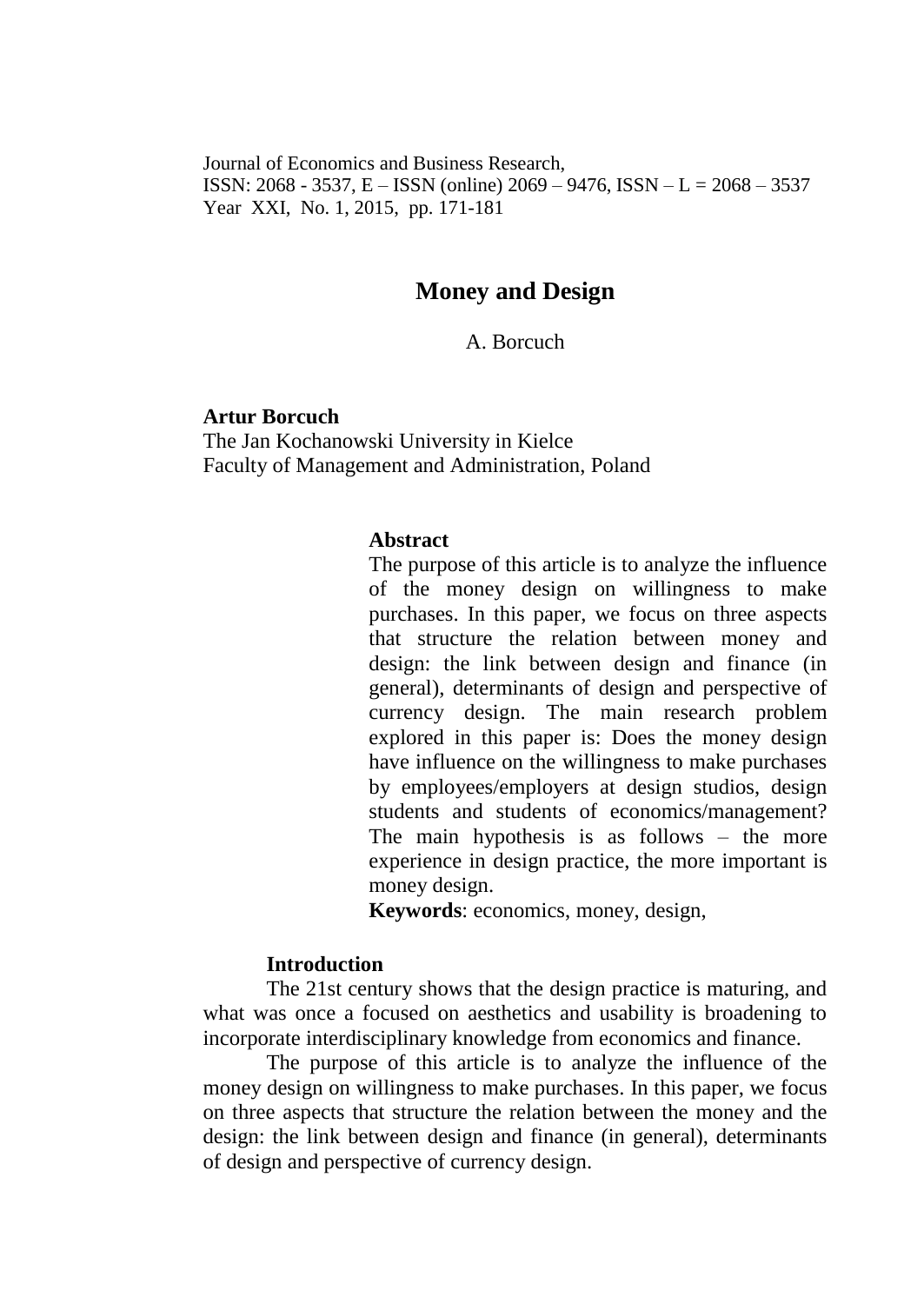Journal of Economics and Business Research, ISSN: 2068 - 3537, E – ISSN (online) 2069 – 9476, ISSN – L = 2068 – 3537 Year XXI, No. 1, 2015, pp. 171-181

# **Money and Design**

A. Borcuch

#### **Artur Borcuch**

The Jan Kochanowski University in Kielce Faculty of Management and Administration, Poland

#### **Abstract**

The purpose of this article is to analyze the influence of the money design on willingness to make purchases. In this paper, we focus on three aspects that structure the relation between money and design: the link between design and finance (in general), determinants of design and perspective of currency design. The main research problem explored in this paper is: Does the money design have influence on the willingness to make purchases by employees/employers at design studios, design students and students of economics/management? The main hypothesis is as follows – the more experience in design practice, the more important is money design.

**Keywords**: economics, money, design,

### **Introduction**

The 21st century shows that the design practice is maturing, and what was once a focused on aesthetics and usability is broadening to incorporate interdisciplinary knowledge from economics and finance.

The purpose of this article is to analyze the influence of the money design on willingness to make purchases. In this paper, we focus on three aspects that structure the relation between the money and the design: the link between design and finance (in general), determinants of design and perspective of currency design.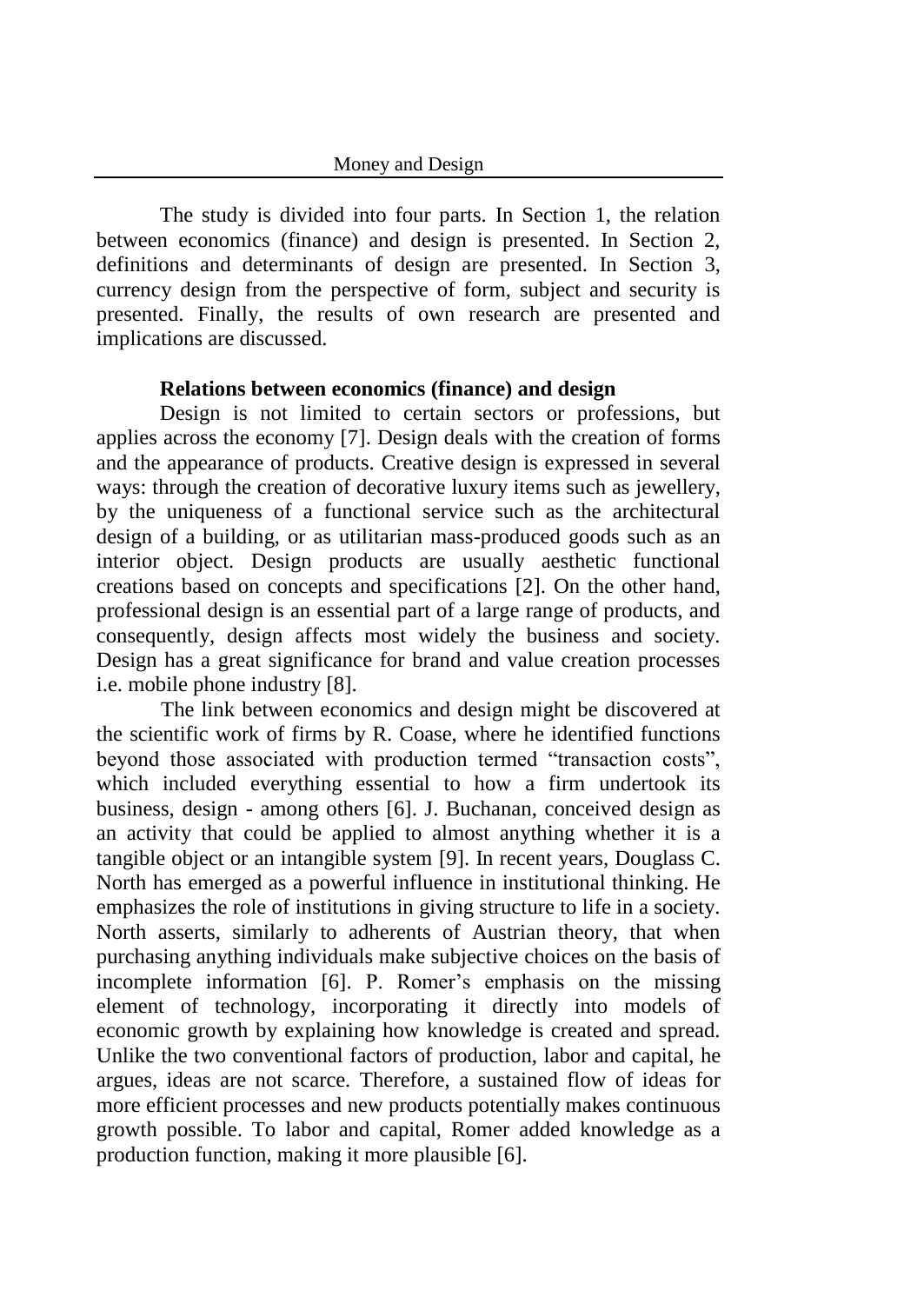#### Money and Design

The study is divided into four parts. In Section 1, the relation between economics (finance) and design is presented. In Section 2, definitions and determinants of design are presented. In Section 3, currency design from the perspective of form, subject and security is presented. Finally, the results of own research are presented and implications are discussed.

#### **Relations between economics (finance) and design**

Design is not limited to certain sectors or professions, but applies across the economy [7]. Design deals with the creation of forms and the appearance of products. Creative design is expressed in several ways: through the creation of decorative luxury items such as jewellery, by the uniqueness of a functional service such as the architectural design of a building, or as utilitarian mass-produced goods such as an interior object. Design products are usually aesthetic functional creations based on concepts and specifications [2]. On the other hand, professional design is an essential part of a large range of products, and consequently, design affects most widely the business and society. Design has a great significance for brand and value creation processes i.e. mobile phone industry [8].

The link between economics and design might be discovered at the scientific work of firms by R. Coase, where he identified functions beyond those associated with production termed "transaction costs", which included everything essential to how a firm undertook its business, design - among others [6]. J. Buchanan, conceived design as an activity that could be applied to almost anything whether it is a tangible object or an intangible system [9]. In recent years, Douglass C. North has emerged as a powerful influence in institutional thinking. He emphasizes the role of institutions in giving structure to life in a society. North asserts, similarly to adherents of Austrian theory, that when purchasing anything individuals make subjective choices on the basis of incomplete information [6]. P. Romer's emphasis on the missing element of technology, incorporating it directly into models of economic growth by explaining how knowledge is created and spread. Unlike the two conventional factors of production, labor and capital, he argues, ideas are not scarce. Therefore, a sustained flow of ideas for more efficient processes and new products potentially makes continuous growth possible. To labor and capital, Romer added knowledge as a production function, making it more plausible [6].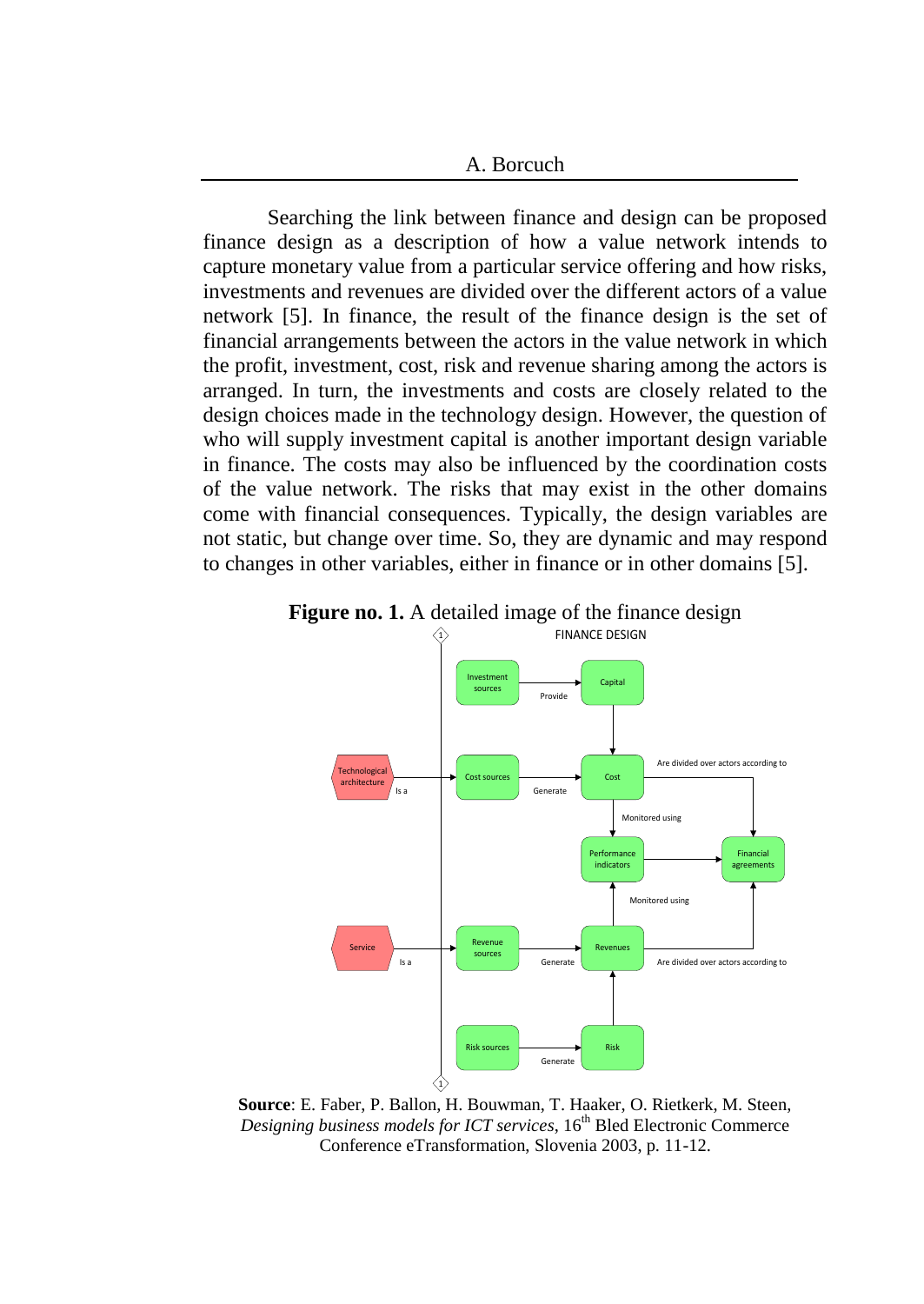A. Borcuch

Searching the link between finance and design can be proposed finance design as a description of how a value network intends to capture monetary value from a particular service offering and how risks, investments and revenues are divided over the different actors of a value network [5]. In finance, the result of the finance design is the set of financial arrangements between the actors in the value network in which the profit, investment, cost, risk and revenue sharing among the actors is arranged. In turn, the investments and costs are closely related to the design choices made in the technology design. However, the question of who will supply investment capital is another important design variable in finance. The costs may also be influenced by the coordination costs of the value network. The risks that may exist in the other domains come with financial consequences. Typically, the design variables are not static, but change over time. So, they are dynamic and may respond to changes in other variables, either in finance or in other domains [5].





**Source**: E. Faber, P. Ballon, H. Bouwman, T. Haaker, O. Rietkerk, M. Steen, *Designing business models for ICT services*, 16<sup>th</sup> Bled Electronic Commerce Conference eTransformation, Slovenia 2003, p. 11-12.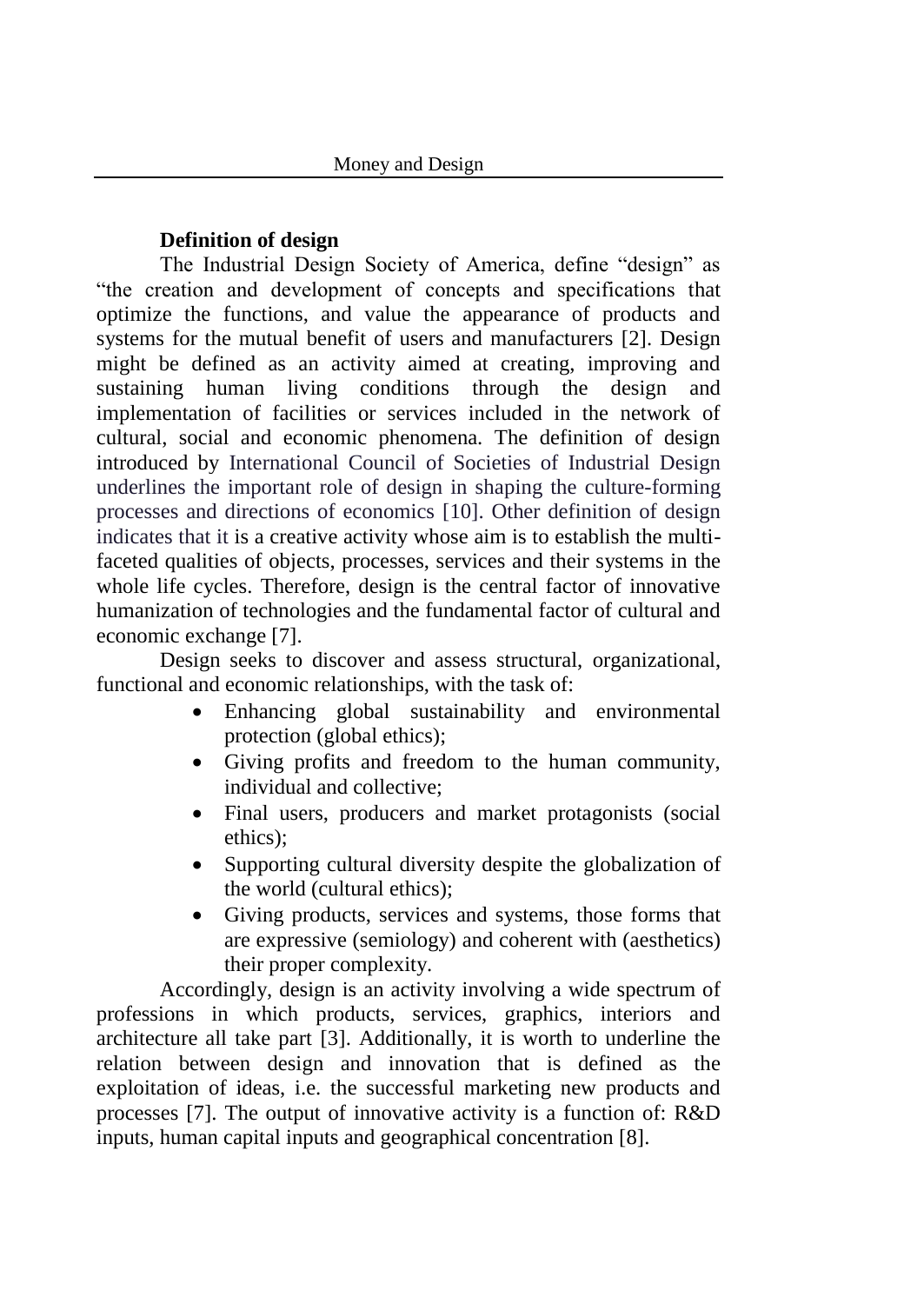# **Definition of design**

The Industrial Design Society of America, define "design" as "the creation and development of concepts and specifications that optimize the functions, and value the appearance of products and systems for the mutual benefit of users and manufacturers [2]. Design might be defined as an activity aimed at creating, improving and sustaining human living conditions through the design and implementation of facilities or services included in the network of cultural, social and economic phenomena. The definition of design introduced by International Council of Societies of Industrial Design underlines the important role of design in shaping the culture-forming processes and directions of economics [10]. Other definition of design indicates that it is a creative activity whose aim is to establish the multifaceted qualities of objects, processes, services and their systems in the whole life cycles. Therefore, design is the central factor of innovative humanization of technologies and the fundamental factor of cultural and economic exchange [7].

Design seeks to discover and assess structural, organizational, functional and economic relationships, with the task of:

- Enhancing global sustainability and environmental protection (global ethics);
- Giving profits and freedom to the human community, individual and collective;
- Final users, producers and market protagonists (social ethics);
- Supporting cultural diversity despite the globalization of the world (cultural ethics);
- Giving products, services and systems, those forms that are expressive (semiology) and coherent with (aesthetics) their proper complexity.

Accordingly, design is an activity involving a wide spectrum of professions in which products, services, graphics, interiors and architecture all take part [3]. Additionally, it is worth to underline the relation between design and innovation that is defined as the exploitation of ideas, i.e. the successful marketing new products and processes [7]. The output of innovative activity is a function of: R&D inputs, human capital inputs and geographical concentration [8].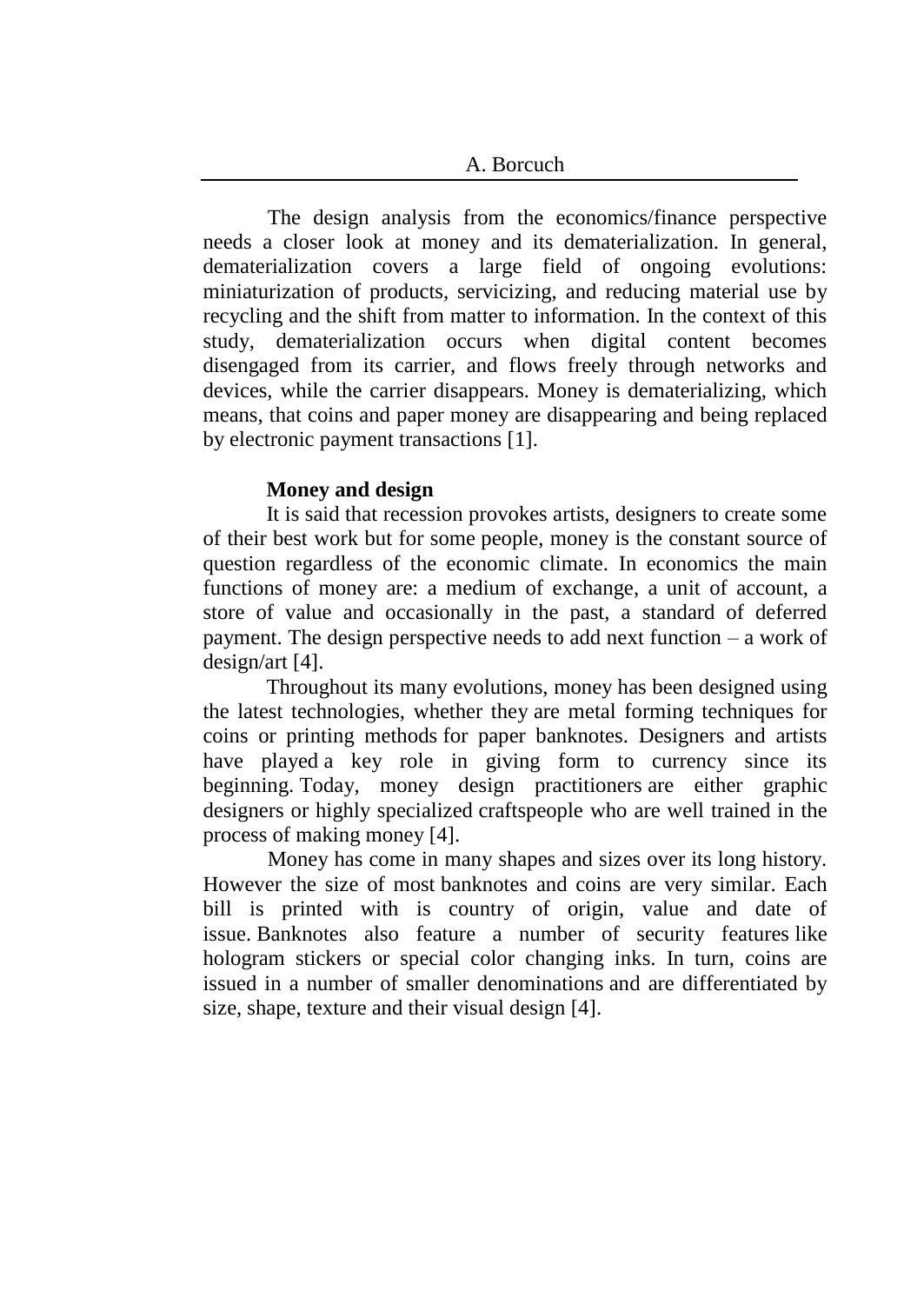The design analysis from the economics/finance perspective needs a closer look at money and its dematerialization. In general, dematerialization covers a large field of ongoing evolutions: miniaturization of products, servicizing, and reducing material use by recycling and the shift from matter to information. In the context of this study, dematerialization occurs when digital content becomes disengaged from its carrier, and flows freely through networks and devices, while the carrier disappears. Money is dematerializing, which means, that coins and paper money are disappearing and being replaced by electronic payment transactions [1].

# **Money and design**

It is said that recession provokes artists, designers to create some of their best work but for some people, money is the constant source of question regardless of the economic climate. In economics the main functions of money are: a medium of exchange, a unit of account, a store of value and occasionally in the past, a standard of deferred payment. The design perspective needs to add next function – a work of design/art [4].

Throughout its many evolutions, money has been designed using the latest technologies, whether they are metal forming techniques for coins or printing methods for paper banknotes. Designers and artists have played a key role in giving form to currency since its beginning. Today, money design practitioners are either graphic designers or highly specialized craftspeople who are well trained in the process of making money [4].

Money has come in many shapes and sizes over its long history. However the size of most banknotes and coins are very similar. Each bill is printed with is country of origin, value and date of issue. Banknotes also feature a number of security features like hologram stickers or special color changing inks. In turn, coins are issued in a number of smaller denominations and are differentiated by size, shape, texture and their visual design [4].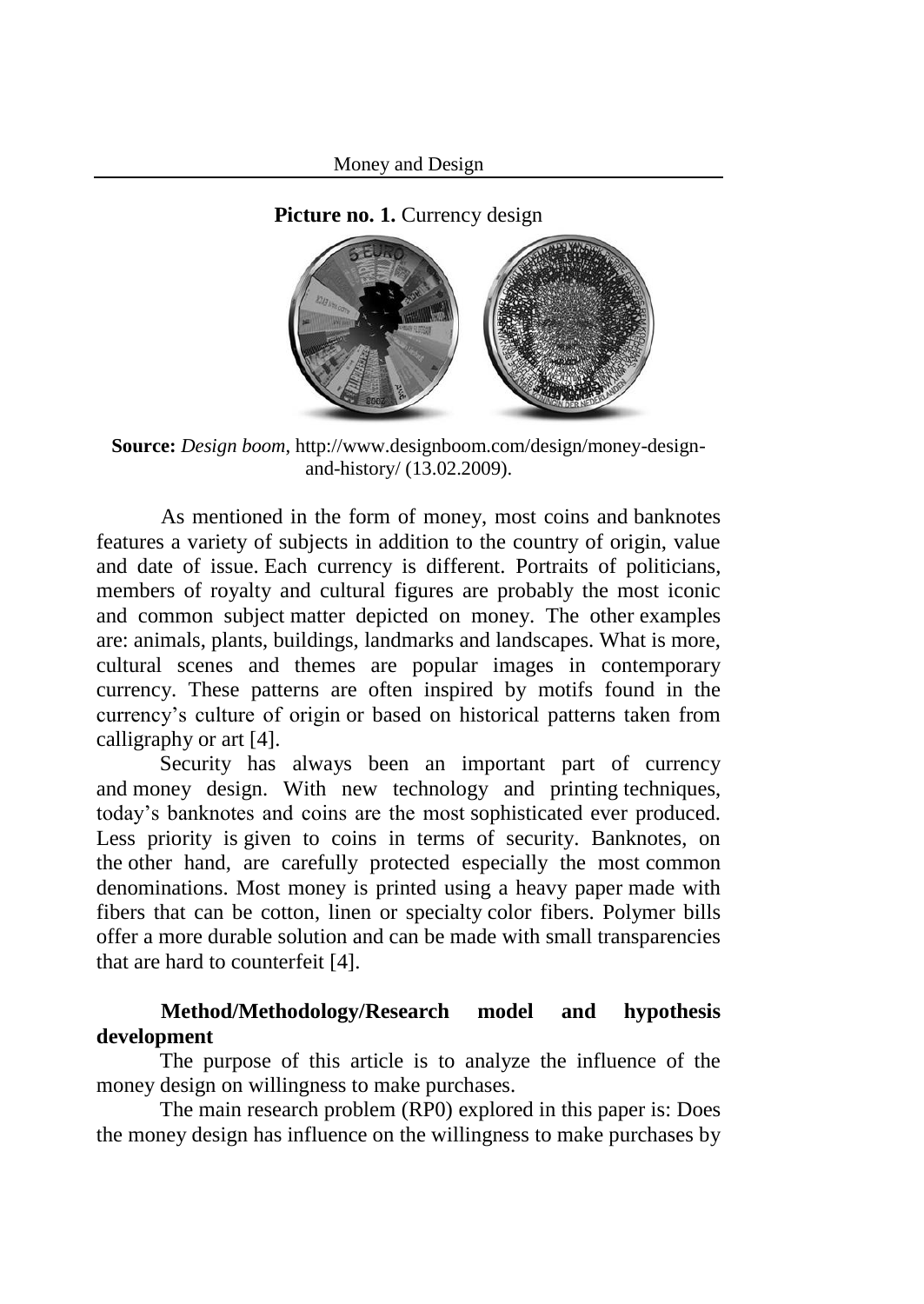**Picture no. 1. Currency design** 



**Source:** *Design boom*, [http://www.designboom.com/design/money-design](http://www.designboom.com/design/money-design-and-history/)[and-history/](http://www.designboom.com/design/money-design-and-history/) (13.02.2009).

As mentioned in the form of money, most coins and banknotes features a variety of subjects in addition to the country of origin, value and date of issue. Each currency is different. Portraits of politicians, members of royalty and cultural figures are probably the most iconic and common subject matter depicted on money. The other examples are: animals, plants, buildings, landmarks and landscapes. What is more, cultural scenes and themes are popular images in contemporary currency. These patterns are often inspired by motifs found in the currency's culture of origin or based on historical patterns taken from calligraphy or art [4].

Security has always been an important part of currency and money design. With new technology and printing techniques, today's banknotes and coins are the most sophisticated ever produced. Less priority is given to coins in terms of security. Banknotes, on the other hand, are carefully protected especially the most common denominations. Most money is printed using a heavy paper made with fibers that can be cotton, linen or specialty color fibers. Polymer bills offer a more durable solution and can be made with small transparencies that are hard to counterfeit [4].

# **Method/Methodology/Research model and hypothesis development**

The purpose of this article is to analyze the influence of the money design on willingness to make purchases.

The main research problem (RP0) explored in this paper is: Does the money design has influence on the willingness to make purchases by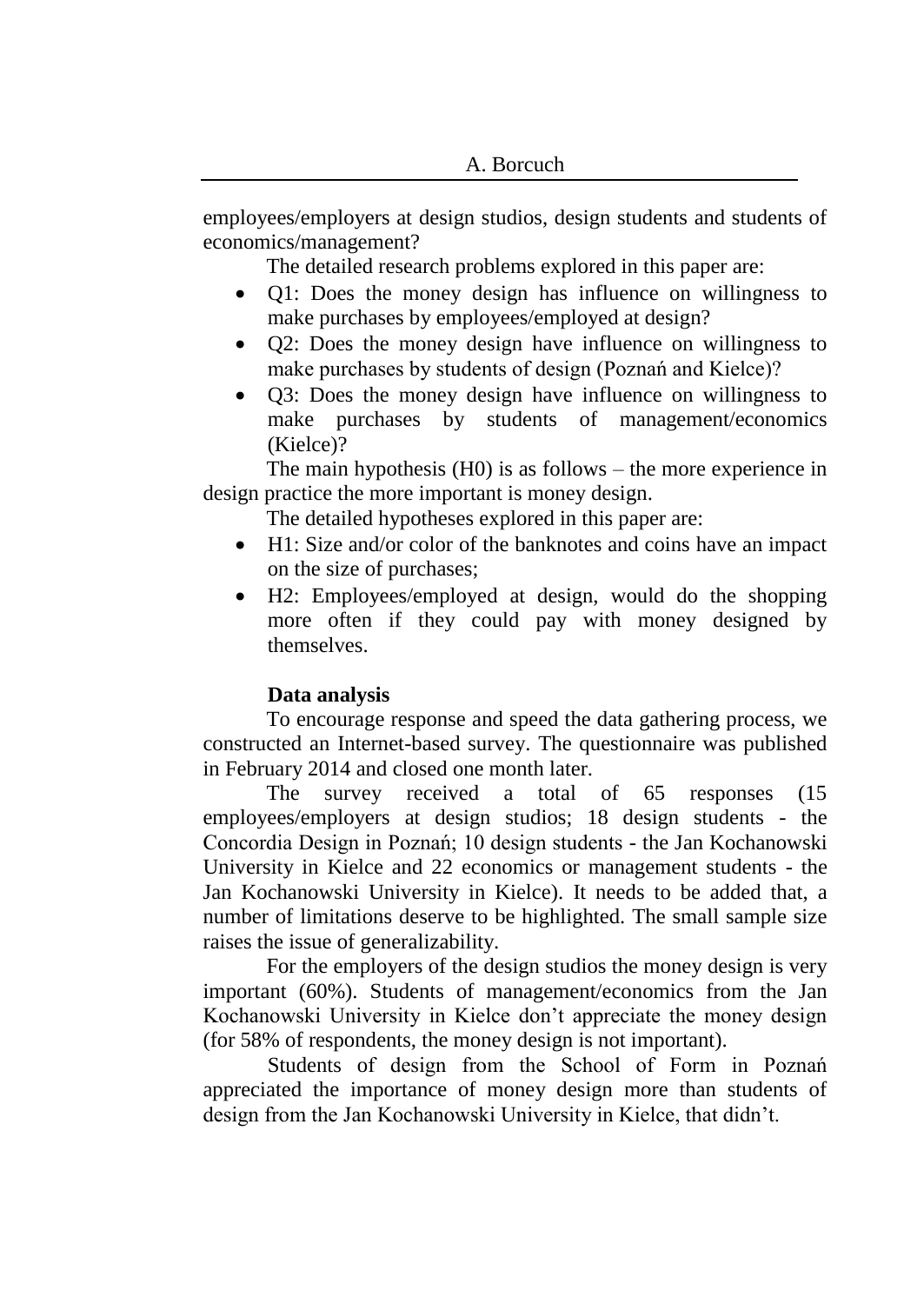employees/employers at design studios, design students and students of economics/management?

The detailed research problems explored in this paper are:

- Q1: Does the money design has influence on willingness to make purchases by employees/employed at design?
- Q2: Does the money design have influence on willingness to make purchases by students of design (Poznań and Kielce)?
- Q3: Does the money design have influence on willingness to make purchases by students of management/economics (Kielce)?

The main hypothesis (H0) is as follows – the more experience in design practice the more important is money design.

The detailed hypotheses explored in this paper are:

- H1: Size and/or color of the banknotes and coins have an impact on the size of purchases;
- H2: Employees/employed at design, would do the shopping more often if they could pay with money designed by themselves.

# **Data analysis**

To encourage response and speed the data gathering process, we constructed an Internet-based survey. The questionnaire was published in February 2014 and closed one month later.

The survey received a total of 65 responses (15 employees/employers at design studios; 18 design students - the Concordia Design in Poznań; 10 design students - the Jan Kochanowski University in Kielce and 22 economics or management students - the Jan Kochanowski University in Kielce). It needs to be added that, a number of limitations deserve to be highlighted. The small sample size raises the issue of generalizability.

For the employers of the design studios the money design is very important (60%). Students of management/economics from the Jan Kochanowski University in Kielce don't appreciate the money design (for 58% of respondents, the money design is not important).

Students of design from the School of Form in Poznań appreciated the importance of money design more than students of design from the Jan Kochanowski University in Kielce, that didn't.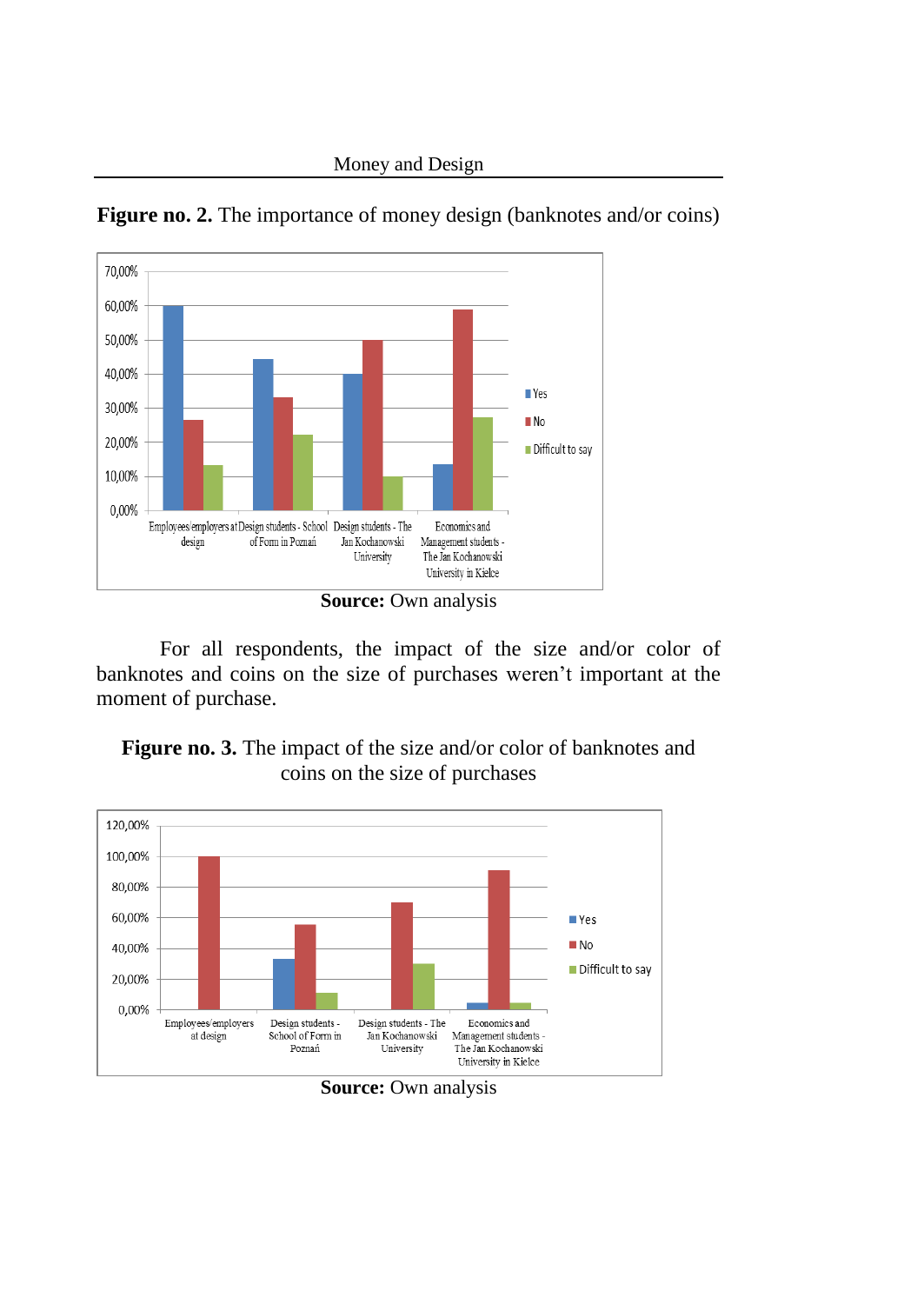

**Figure no. 2.** The importance of money design (banknotes and/or coins)

For all respondents, the impact of the size and/or color of banknotes and coins on the size of purchases weren't important at the moment of purchase.





**Source:** Own analysis

**Source:** Own analysis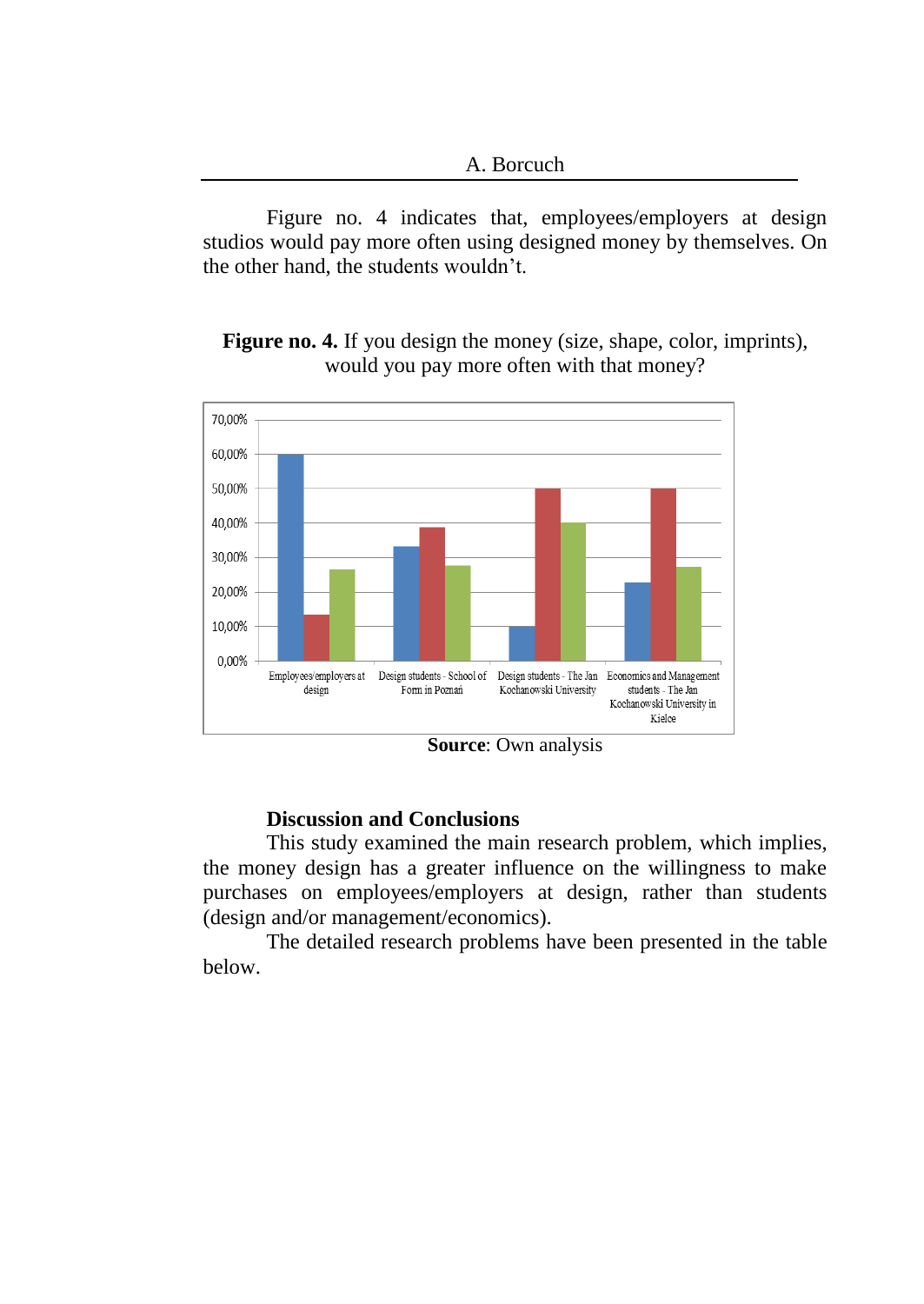Figure no. 4 indicates that, employees/employers at design studios would pay more often using designed money by themselves. On the other hand, the students wouldn't.

**Figure no. 4.** If you design the money (size, shape, color, imprints), would you pay more often with that money?



**Source**: Own analysis

#### **Discussion and Conclusions**

This study examined the main research problem, which implies, the money design has a greater influence on the willingness to make purchases on employees/employers at design, rather than students (design and/or management/economics).

The detailed research problems have been presented in the table below.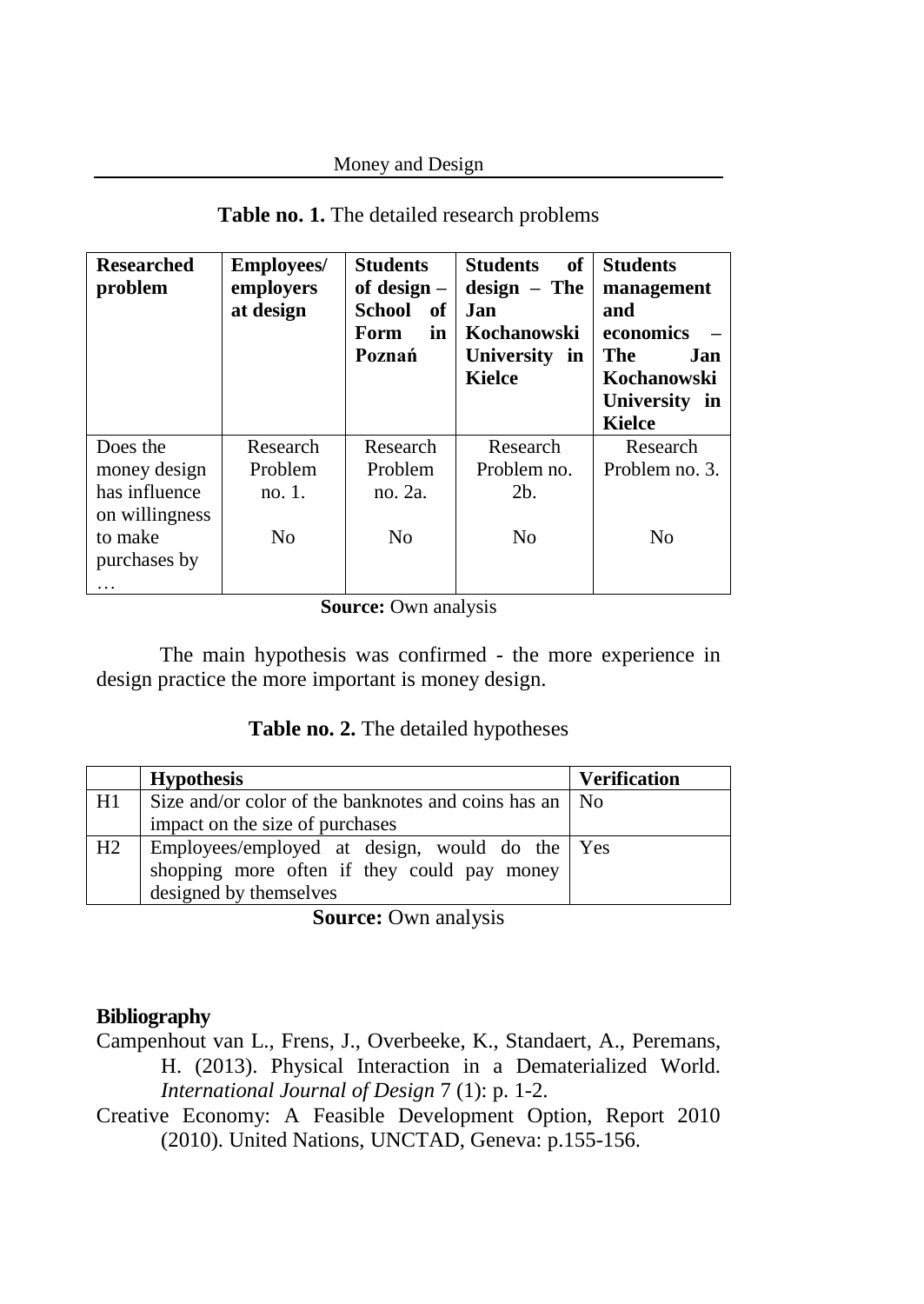### Money and Design

| <b>Researched</b><br>problem                               | <b>Employees</b> /<br>employers<br>at design | <b>Students</b><br>of design $-$<br>School<br>- of<br>in<br>Form<br>Poznań | of<br><b>Students</b><br>$design - The$<br><b>Jan</b><br><b>Kochanowski</b><br>University in<br><b>Kielce</b> | <b>Students</b><br>management<br>and<br>economics<br>The<br>Jan.<br>Kochanowski<br>University in<br><b>Kielce</b> |
|------------------------------------------------------------|----------------------------------------------|----------------------------------------------------------------------------|---------------------------------------------------------------------------------------------------------------|-------------------------------------------------------------------------------------------------------------------|
| Does the                                                   | Research                                     | Research                                                                   | Research                                                                                                      | Research                                                                                                          |
| money design                                               | Problem                                      | Problem                                                                    | Problem no.                                                                                                   | Problem no. 3.                                                                                                    |
| has influence<br>on willingness<br>to make<br>purchases by | no. 1.<br>N <sub>0</sub>                     | no. 2a.<br>N <sub>0</sub>                                                  | 2 <sub>b</sub><br>N <sub>0</sub>                                                                              | N <sub>0</sub>                                                                                                    |
|                                                            |                                              |                                                                            |                                                                                                               |                                                                                                                   |

### **Table no. 1.** The detailed research problems

**Source:** Own analysis

The main hypothesis was confirmed - the more experience in design practice the more important is money design.

# **Table no. 2.** The detailed hypotheses

|    | <b>Hypothesis</b>                                        | <b>Verification</b> |
|----|----------------------------------------------------------|---------------------|
| H1 | Size and/or color of the banknotes and coins has an   No |                     |
|    | impact on the size of purchases                          |                     |
| H2 | Employees/employed at design, would do the Yes           |                     |
|    | shopping more often if they could pay money              |                     |
|    | designed by themselves                                   |                     |

**Source:** Own analysis

### **Bibliography**

- Campenhout van L., Frens, J., Overbeeke, K., Standaert, A., Peremans, H. (2013). Physical Interaction in a Dematerialized World. *International Journal of Design* 7 (1): p. 1-2.
- Creative Economy: A Feasible Development Option, Report 2010 (2010). United Nations, UNCTAD, Geneva: p.155-156.